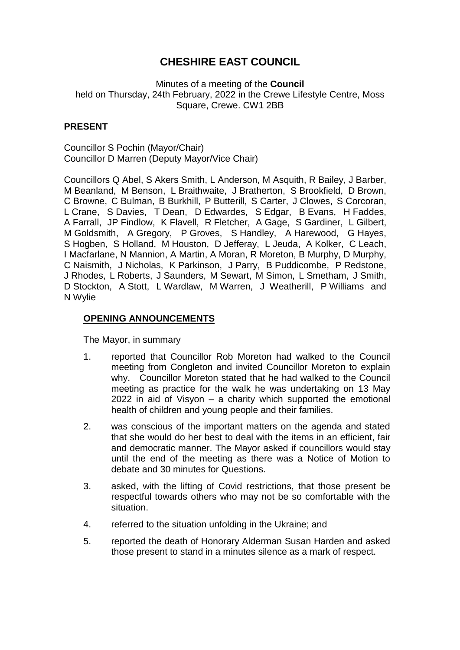# **CHESHIRE EAST COUNCIL**

Minutes of a meeting of the **Council** held on Thursday, 24th February, 2022 in the Crewe Lifestyle Centre, Moss Square, Crewe. CW1 2BB

# **PRESENT**

Councillor S Pochin (Mayor/Chair) Councillor D Marren (Deputy Mayor/Vice Chair)

Councillors Q Abel, S Akers Smith, L Anderson, M Asquith, R Bailey, J Barber, M Beanland, M Benson, L Braithwaite, J Bratherton, S Brookfield, D Brown, C Browne, C Bulman, B Burkhill, P Butterill, S Carter, J Clowes, S Corcoran, L Crane, S Davies, T Dean, D Edwardes, S Edgar, B Evans, H Faddes, A Farrall, JP Findlow, K Flavell, R Fletcher, A Gage, S Gardiner, L Gilbert, M Goldsmith, A Gregory, P Groves, S Handley, A Harewood, G Hayes, S Hogben, S Holland, M Houston, D Jefferay, L Jeuda, A Kolker, C Leach, I Macfarlane, N Mannion, A Martin, A Moran, R Moreton, B Murphy, D Murphy, C Naismith, J Nicholas, K Parkinson, J Parry, B Puddicombe, P Redstone, J Rhodes, L Roberts, J Saunders, M Sewart, M Simon, L Smetham, J Smith, D Stockton, A Stott, L Wardlaw, M Warren, J Weatherill, P Williams and N Wylie

# **OPENING ANNOUNCEMENTS**

The Mayor, in summary

- 1. reported that Councillor Rob Moreton had walked to the Council meeting from Congleton and invited Councillor Moreton to explain why. Councillor Moreton stated that he had walked to the Council meeting as practice for the walk he was undertaking on 13 May 2022 in aid of Visyon – a charity which supported the emotional health of children and young people and their families.
- 2. was conscious of the important matters on the agenda and stated that she would do her best to deal with the items in an efficient, fair and democratic manner. The Mayor asked if councillors would stay until the end of the meeting as there was a Notice of Motion to debate and 30 minutes for Questions.
- 3. asked, with the lifting of Covid restrictions, that those present be respectful towards others who may not be so comfortable with the situation.
- 4. referred to the situation unfolding in the Ukraine; and
- 5. reported the death of Honorary Alderman Susan Harden and asked those present to stand in a minutes silence as a mark of respect.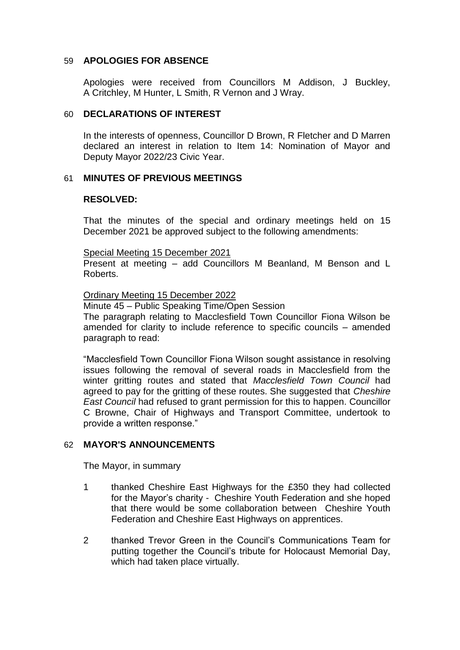### 59 **APOLOGIES FOR ABSENCE**

Apologies were received from Councillors M Addison, J Buckley, A Critchley, M Hunter, L Smith, R Vernon and J Wray.

### 60 **DECLARATIONS OF INTEREST**

In the interests of openness, Councillor D Brown, R Fletcher and D Marren declared an interest in relation to Item 14: Nomination of Mayor and Deputy Mayor 2022/23 Civic Year.

### 61 **MINUTES OF PREVIOUS MEETINGS**

### **RESOLVED:**

That the minutes of the special and ordinary meetings held on 15 December 2021 be approved subject to the following amendments:

#### Special Meeting 15 December 2021

Present at meeting – add Councillors M Beanland, M Benson and L Roberts.

#### Ordinary Meeting 15 December 2022

Minute 45 – Public Speaking Time/Open Session

The paragraph relating to Macclesfield Town Councillor Fiona Wilson be amended for clarity to include reference to specific councils – amended paragraph to read:

"Macclesfield Town Councillor Fiona Wilson sought assistance in resolving issues following the removal of several roads in Macclesfield from the winter gritting routes and stated that *Macclesfield Town Council* had agreed to pay for the gritting of these routes. She suggested that *Cheshire East Council* had refused to grant permission for this to happen. Councillor C Browne, Chair of Highways and Transport Committee, undertook to provide a written response."

# 62 **MAYOR'S ANNOUNCEMENTS**

The Mayor, in summary

- 1 thanked Cheshire East Highways for the £350 they had collected for the Mayor's charity - Cheshire Youth Federation and she hoped that there would be some collaboration between Cheshire Youth Federation and Cheshire East Highways on apprentices.
- 2 thanked Trevor Green in the Council's Communications Team for putting together the Council's tribute for Holocaust Memorial Day, which had taken place virtually.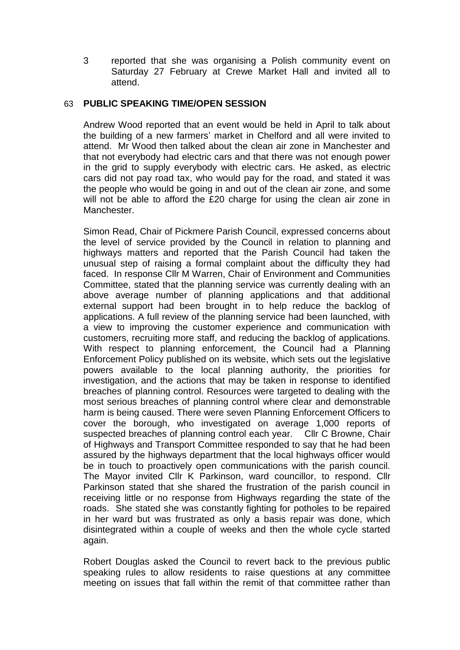3 reported that she was organising a Polish community event on Saturday 27 February at Crewe Market Hall and invited all to attend.

### 63 **PUBLIC SPEAKING TIME/OPEN SESSION**

Andrew Wood reported that an event would be held in April to talk about the building of a new farmers' market in Chelford and all were invited to attend. Mr Wood then talked about the clean air zone in Manchester and that not everybody had electric cars and that there was not enough power in the grid to supply everybody with electric cars. He asked, as electric cars did not pay road tax, who would pay for the road, and stated it was the people who would be going in and out of the clean air zone, and some will not be able to afford the £20 charge for using the clean air zone in Manchester.

Simon Read, Chair of Pickmere Parish Council, expressed concerns about the level of service provided by the Council in relation to planning and highways matters and reported that the Parish Council had taken the unusual step of raising a formal complaint about the difficulty they had faced. In response Cllr M Warren, Chair of Environment and Communities Committee, stated that the planning service was currently dealing with an above average number of planning applications and that additional external support had been brought in to help reduce the backlog of applications. A full review of the planning service had been launched, with a view to improving the customer experience and communication with customers, recruiting more staff, and reducing the backlog of applications. With respect to planning enforcement, the Council had a Planning Enforcement Policy published on its website, which sets out the legislative powers available to the local planning authority, the priorities for investigation, and the actions that may be taken in response to identified breaches of planning control. Resources were targeted to dealing with the most serious breaches of planning control where clear and demonstrable harm is being caused. There were seven Planning Enforcement Officers to cover the borough, who investigated on average 1,000 reports of suspected breaches of planning control each year. Cllr C Browne, Chair of Highways and Transport Committee responded to say that he had been assured by the highways department that the local highways officer would be in touch to proactively open communications with the parish council. The Mayor invited Cllr K Parkinson, ward councillor, to respond. Cllr Parkinson stated that she shared the frustration of the parish council in receiving little or no response from Highways regarding the state of the roads. She stated she was constantly fighting for potholes to be repaired in her ward but was frustrated as only a basis repair was done, which disintegrated within a couple of weeks and then the whole cycle started again.

Robert Douglas asked the Council to revert back to the previous public speaking rules to allow residents to raise questions at any committee meeting on issues that fall within the remit of that committee rather than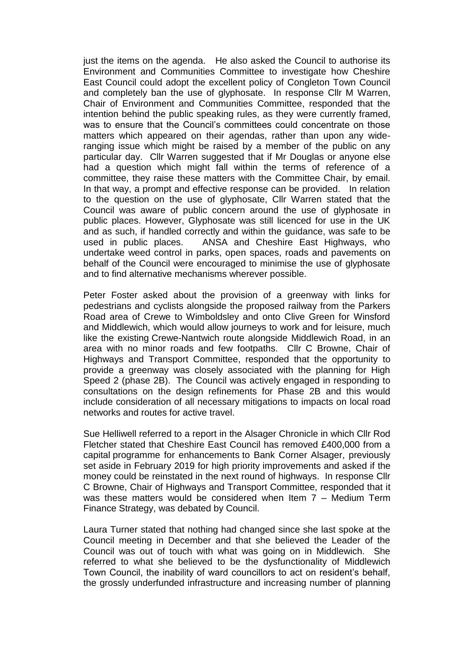just the items on the agenda. He also asked the Council to authorise its Environment and Communities Committee to investigate how Cheshire East Council could adopt the excellent policy of Congleton Town Council and completely ban the use of glyphosate. In response Cllr M Warren, Chair of Environment and Communities Committee, responded that the intention behind the public speaking rules, as they were currently framed, was to ensure that the Council's committees could concentrate on those matters which appeared on their agendas, rather than upon any wideranging issue which might be raised by a member of the public on any particular day. Cllr Warren suggested that if Mr Douglas or anyone else had a question which might fall within the terms of reference of a committee, they raise these matters with the Committee Chair, by email. In that way, a prompt and effective response can be provided. In relation to the question on the use of glyphosate, Cllr Warren stated that the Council was aware of public concern around the use of glyphosate in public places. However, Glyphosate was still licenced for use in the UK and as such, if handled correctly and within the guidance, was safe to be used in public places. ANSA and Cheshire East Highways, who undertake weed control in parks, open spaces, roads and pavements on behalf of the Council were encouraged to minimise the use of glyphosate and to find alternative mechanisms wherever possible.

Peter Foster asked about the provision of a greenway with links for pedestrians and cyclists alongside the proposed railway from the Parkers Road area of Crewe to Wimboldsley and onto Clive Green for Winsford and Middlewich, which would allow journeys to work and for leisure, much like the existing Crewe-Nantwich route alongside Middlewich Road, in an area with no minor roads and few footpaths. Cllr C Browne, Chair of Highways and Transport Committee, responded that the opportunity to provide a greenway was closely associated with the planning for High Speed 2 (phase 2B). The Council was actively engaged in responding to consultations on the design refinements for Phase 2B and this would include consideration of all necessary mitigations to impacts on local road networks and routes for active travel.

Sue Helliwell referred to a report in the Alsager Chronicle in which Cllr Rod Fletcher stated that Cheshire East Council has removed £400,000 from a capital programme for enhancements to Bank Corner Alsager, previously set aside in February 2019 for high priority improvements and asked if the money could be reinstated in the next round of highways. In response Cllr C Browne, Chair of Highways and Transport Committee, responded that it was these matters would be considered when Item 7 – Medium Term Finance Strategy, was debated by Council.

Laura Turner stated that nothing had changed since she last spoke at the Council meeting in December and that she believed the Leader of the Council was out of touch with what was going on in Middlewich. She referred to what she believed to be the dysfunctionality of Middlewich Town Council, the inability of ward councillors to act on resident's behalf, the grossly underfunded infrastructure and increasing number of planning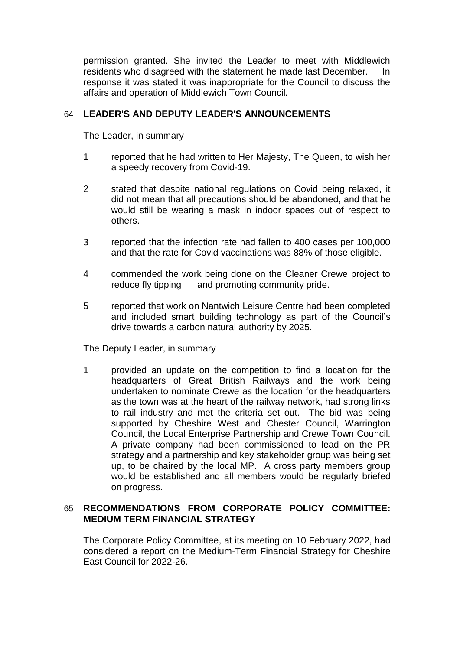permission granted. She invited the Leader to meet with Middlewich residents who disagreed with the statement he made last December. In response it was stated it was inappropriate for the Council to discuss the affairs and operation of Middlewich Town Council.

# 64 **LEADER'S AND DEPUTY LEADER'S ANNOUNCEMENTS**

The Leader, in summary

- 1 reported that he had written to Her Majesty, The Queen, to wish her a speedy recovery from Covid-19.
- 2 stated that despite national regulations on Covid being relaxed, it did not mean that all precautions should be abandoned, and that he would still be wearing a mask in indoor spaces out of respect to others.
- 3 reported that the infection rate had fallen to 400 cases per 100,000 and that the rate for Covid vaccinations was 88% of those eligible.
- 4 commended the work being done on the Cleaner Crewe project to reduce fly tipping and promoting community pride.
- 5 reported that work on Nantwich Leisure Centre had been completed and included smart building technology as part of the Council's drive towards a carbon natural authority by 2025.

The Deputy Leader, in summary

1 provided an update on the competition to find a location for the headquarters of Great British Railways and the work being undertaken to nominate Crewe as the location for the headquarters as the town was at the heart of the railway network, had strong links to rail industry and met the criteria set out. The bid was being supported by Cheshire West and Chester Council, Warrington Council, the Local Enterprise Partnership and Crewe Town Council. A private company had been commissioned to lead on the PR strategy and a partnership and key stakeholder group was being set up, to be chaired by the local MP. A cross party members group would be established and all members would be regularly briefed on progress.

# 65 **RECOMMENDATIONS FROM CORPORATE POLICY COMMITTEE: MEDIUM TERM FINANCIAL STRATEGY**

The Corporate Policy Committee, at its meeting on 10 February 2022, had considered a report on the Medium-Term Financial Strategy for Cheshire East Council for 2022-26.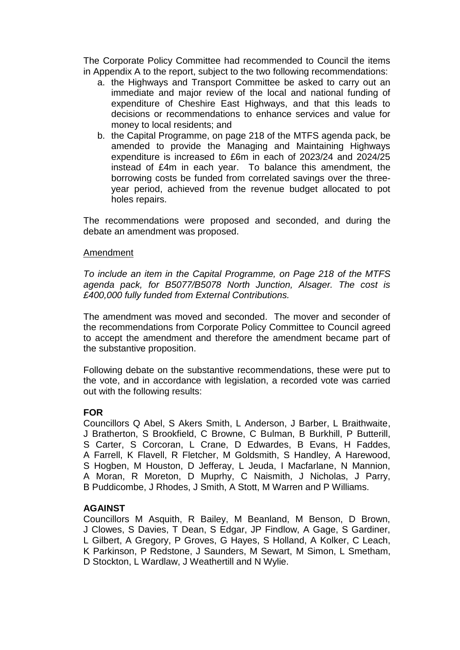The Corporate Policy Committee had recommended to Council the items in Appendix A to the report, subject to the two following recommendations:

- a. the Highways and Transport Committee be asked to carry out an immediate and major review of the local and national funding of expenditure of Cheshire East Highways, and that this leads to decisions or recommendations to enhance services and value for money to local residents; and
- b. the Capital Programme, on page 218 of the MTFS agenda pack, be amended to provide the Managing and Maintaining Highways expenditure is increased to £6m in each of 2023/24 and 2024/25 instead of £4m in each year. To balance this amendment, the borrowing costs be funded from correlated savings over the threeyear period, achieved from the revenue budget allocated to pot holes repairs.

The recommendations were proposed and seconded, and during the debate an amendment was proposed.

#### Amendment

*To include an item in the Capital Programme, on Page 218 of the MTFS agenda pack, for B5077/B5078 North Junction, Alsager. The cost is £400,000 fully funded from External Contributions.* 

The amendment was moved and seconded. The mover and seconder of the recommendations from Corporate Policy Committee to Council agreed to accept the amendment and therefore the amendment became part of the substantive proposition.

Following debate on the substantive recommendations, these were put to the vote, and in accordance with legislation, a recorded vote was carried out with the following results:

# **FOR**

Councillors Q Abel, S Akers Smith, L Anderson, J Barber, L Braithwaite, J Bratherton, S Brookfield, C Browne, C Bulman, B Burkhill, P Butterill, S Carter, S Corcoran, L Crane, D Edwardes, B Evans, H Faddes, A Farrell, K Flavell, R Fletcher, M Goldsmith, S Handley, A Harewood, S Hogben, M Houston, D Jefferay, L Jeuda, I Macfarlane, N Mannion, A Moran, R Moreton, D Muprhy, C Naismith, J Nicholas, J Parry, B Puddicombe, J Rhodes, J Smith, A Stott, M Warren and P Williams.

#### **AGAINST**

Councillors M Asquith, R Bailey, M Beanland, M Benson, D Brown, J Clowes, S Davies, T Dean, S Edgar, JP Findlow, A Gage, S Gardiner, L Gilbert, A Gregory, P Groves, G Hayes, S Holland, A Kolker, C Leach, K Parkinson, P Redstone, J Saunders, M Sewart, M Simon, L Smetham, D Stockton, L Wardlaw, J Weathertill and N Wylie.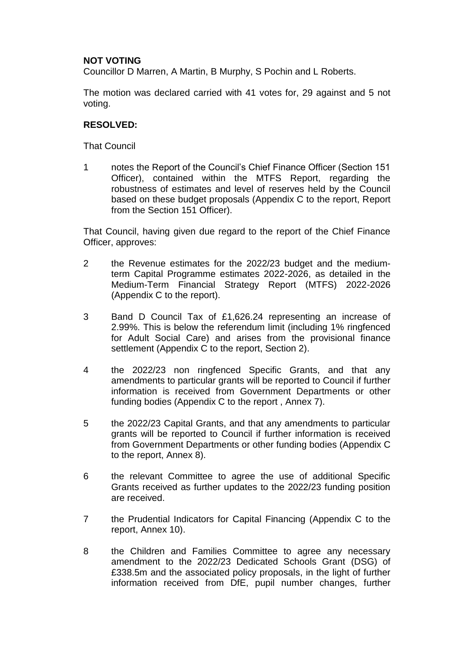# **NOT VOTING**

Councillor D Marren, A Martin, B Murphy, S Pochin and L Roberts.

The motion was declared carried with 41 votes for, 29 against and 5 not voting.

### **RESOLVED:**

That Council

1 notes the Report of the Council's Chief Finance Officer (Section 151 Officer), contained within the MTFS Report, regarding the robustness of estimates and level of reserves held by the Council based on these budget proposals (Appendix C to the report, Report from the Section 151 Officer).

That Council, having given due regard to the report of the Chief Finance Officer, approves:

- 2 the Revenue estimates for the 2022/23 budget and the mediumterm Capital Programme estimates 2022-2026, as detailed in the Medium-Term Financial Strategy Report (MTFS) 2022-2026 (Appendix C to the report).
- 3 Band D Council Tax of £1,626.24 representing an increase of 2.99%. This is below the referendum limit (including 1% ringfenced for Adult Social Care) and arises from the provisional finance settlement (Appendix C to the report, Section 2).
- 4 the 2022/23 non ringfenced Specific Grants, and that any amendments to particular grants will be reported to Council if further information is received from Government Departments or other funding bodies (Appendix C to the report , Annex 7).
- 5 the 2022/23 Capital Grants, and that any amendments to particular grants will be reported to Council if further information is received from Government Departments or other funding bodies (Appendix C to the report, Annex 8).
- 6 the relevant Committee to agree the use of additional Specific Grants received as further updates to the 2022/23 funding position are received.
- 7 the Prudential Indicators for Capital Financing (Appendix C to the report, Annex 10).
- 8 the Children and Families Committee to agree any necessary amendment to the 2022/23 Dedicated Schools Grant (DSG) of £338.5m and the associated policy proposals, in the light of further information received from DfE, pupil number changes, further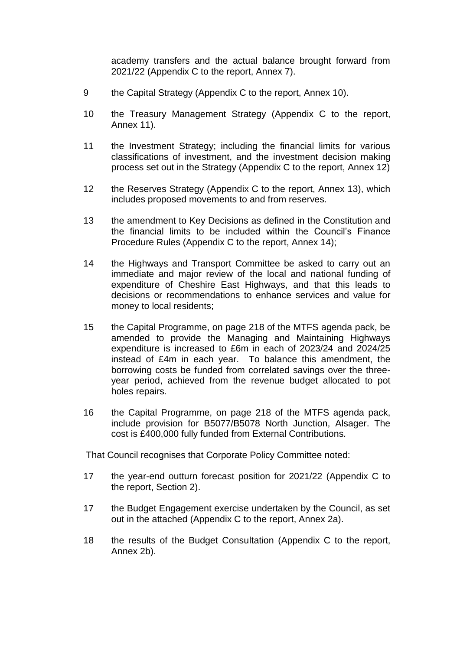academy transfers and the actual balance brought forward from 2021/22 (Appendix C to the report, Annex 7).

- 9 the Capital Strategy (Appendix C to the report, Annex 10).
- 10 the Treasury Management Strategy (Appendix C to the report, Annex 11).
- 11 the Investment Strategy; including the financial limits for various classifications of investment, and the investment decision making process set out in the Strategy (Appendix C to the report, Annex 12)
- 12 the Reserves Strategy (Appendix C to the report, Annex 13), which includes proposed movements to and from reserves.
- 13 the amendment to Key Decisions as defined in the Constitution and the financial limits to be included within the Council's Finance Procedure Rules (Appendix C to the report, Annex 14);
- 14 the Highways and Transport Committee be asked to carry out an immediate and major review of the local and national funding of expenditure of Cheshire East Highways, and that this leads to decisions or recommendations to enhance services and value for money to local residents;
- 15 the Capital Programme, on page 218 of the MTFS agenda pack, be amended to provide the Managing and Maintaining Highways expenditure is increased to £6m in each of 2023/24 and 2024/25 instead of £4m in each year. To balance this amendment, the borrowing costs be funded from correlated savings over the threeyear period, achieved from the revenue budget allocated to pot holes repairs.
- 16 the Capital Programme, on page 218 of the MTFS agenda pack, include provision for B5077/B5078 North Junction, Alsager. The cost is £400,000 fully funded from External Contributions*.*

That Council recognises that Corporate Policy Committee noted:

- 17 the year-end outturn forecast position for 2021/22 (Appendix C to the report, Section 2).
- 17 the Budget Engagement exercise undertaken by the Council, as set out in the attached (Appendix C to the report, Annex 2a).
- 18 the results of the Budget Consultation (Appendix C to the report, Annex 2b).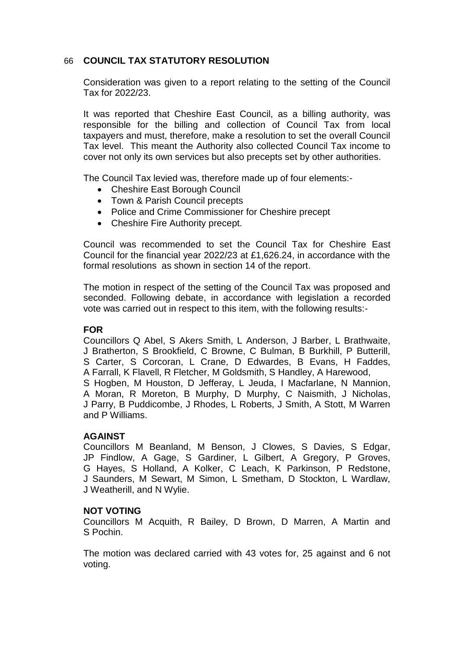# 66 **COUNCIL TAX STATUTORY RESOLUTION**

Consideration was given to a report relating to the setting of the Council Tax for 2022/23.

It was reported that Cheshire East Council, as a billing authority, was responsible for the billing and collection of Council Tax from local taxpayers and must, therefore, make a resolution to set the overall Council Tax level. This meant the Authority also collected Council Tax income to cover not only its own services but also precepts set by other authorities.

The Council Tax levied was, therefore made up of four elements:-

- Cheshire East Borough Council
- Town & Parish Council precepts
- Police and Crime Commissioner for Cheshire precept
- Cheshire Fire Authority precept.

Council was recommended to set the Council Tax for Cheshire East Council for the financial year 2022/23 at £1,626.24, in accordance with the formal resolutions as shown in section 14 of the report.

The motion in respect of the setting of the Council Tax was proposed and seconded. Following debate, in accordance with legislation a recorded vote was carried out in respect to this item, with the following results:-

# **FOR**

Councillors Q Abel, S Akers Smith, L Anderson, J Barber, L Brathwaite, J Bratherton, S Brookfield, C Browne, C Bulman, B Burkhill, P Butterill, S Carter, S Corcoran, L Crane, D Edwardes, B Evans, H Faddes, A Farrall, K Flavell, R Fletcher, M Goldsmith, S Handley, A Harewood, S Hogben, M Houston, D Jefferay, L Jeuda, I Macfarlane, N Mannion, A Moran, R Moreton, B Murphy, D Murphy, C Naismith, J Nicholas, J Parry, B Puddicombe, J Rhodes, L Roberts, J Smith, A Stott, M Warren and P Williams.

# **AGAINST**

Councillors M Beanland, M Benson, J Clowes, S Davies, S Edgar, JP Findlow, A Gage, S Gardiner, L Gilbert, A Gregory, P Groves, G Hayes, S Holland, A Kolker, C Leach, K Parkinson, P Redstone, J Saunders, M Sewart, M Simon, L Smetham, D Stockton, L Wardlaw, J Weatherill, and N Wylie.

#### **NOT VOTING**

Councillors M Acquith, R Bailey, D Brown, D Marren, A Martin and S Pochin.

The motion was declared carried with 43 votes for, 25 against and 6 not voting.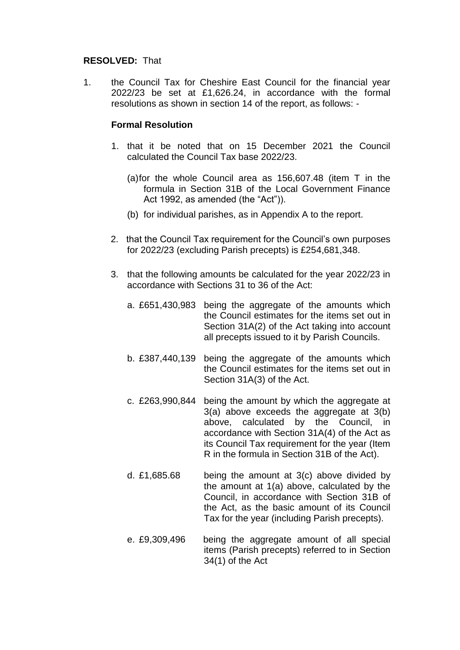#### **RESOLVED:** That

1. the Council Tax for Cheshire East Council for the financial year 2022/23 be set at £1,626.24, in accordance with the formal resolutions as shown in section 14 of the report, as follows: -

### **Formal Resolution**

- 1. that it be noted that on 15 December 2021 the Council calculated the Council Tax base 2022/23.
	- (a)for the whole Council area as 156,607.48 (item T in the formula in Section 31B of the Local Government Finance Act 1992, as amended (the "Act")).
	- (b) for individual parishes, as in Appendix A to the report.
- 2. that the Council Tax requirement for the Council's own purposes for 2022/23 (excluding Parish precepts) is £254,681,348.
- 3. that the following amounts be calculated for the year 2022/23 in accordance with Sections 31 to 36 of the Act:
	- a. £651,430,983 being the aggregate of the amounts which the Council estimates for the items set out in Section 31A(2) of the Act taking into account all precepts issued to it by Parish Councils.
	- b. £387,440,139 being the aggregate of the amounts which the Council estimates for the items set out in Section 31A(3) of the Act.
	- c. £263,990,844 being the amount by which the aggregate at 3(a) above exceeds the aggregate at 3(b) above, calculated by the Council, in accordance with Section 31A(4) of the Act as its Council Tax requirement for the year (Item R in the formula in Section 31B of the Act).
	- d. £1,685.68 being the amount at  $3(c)$  above divided by the amount at 1(a) above, calculated by the Council, in accordance with Section 31B of the Act, as the basic amount of its Council Tax for the year (including Parish precepts).
	- e. £9,309,496 being the aggregate amount of all special items (Parish precepts) referred to in Section 34(1) of the Act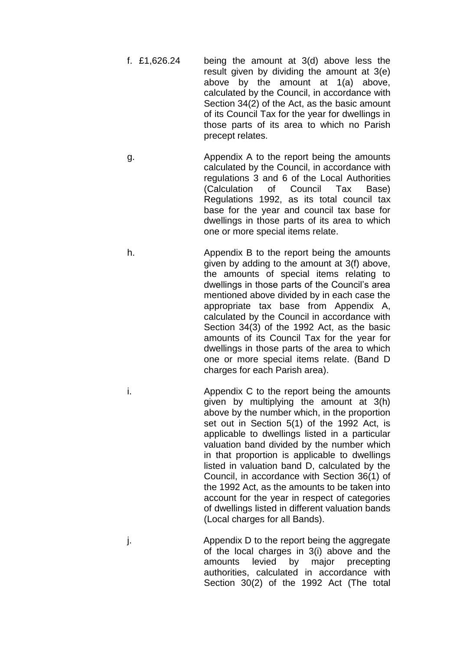- f. £1,626.24 being the amount at 3(d) above less the result given by dividing the amount at 3(e) above by the amount at 1(a) above, calculated by the Council, in accordance with Section 34(2) of the Act, as the basic amount of its Council Tax for the year for dwellings in those parts of its area to which no Parish precept relates.
- g. Appendix A to the report being the amounts calculated by the Council, in accordance with regulations 3 and 6 of the Local Authorities (Calculation of Council Tax Base) Regulations 1992, as its total council tax base for the year and council tax base for dwellings in those parts of its area to which one or more special items relate.
- h. Appendix B to the report being the amounts given by adding to the amount at 3(f) above, the amounts of special items relating to dwellings in those parts of the Council's area mentioned above divided by in each case the appropriate tax base from Appendix A, calculated by the Council in accordance with Section 34(3) of the 1992 Act, as the basic amounts of its Council Tax for the year for dwellings in those parts of the area to which one or more special items relate. (Band D charges for each Parish area).
- i. Appendix C to the report being the amounts given by multiplying the amount at 3(h) above by the number which, in the proportion set out in Section 5(1) of the 1992 Act, is applicable to dwellings listed in a particular valuation band divided by the number which in that proportion is applicable to dwellings listed in valuation band D, calculated by the Council, in accordance with Section 36(1) of the 1992 Act, as the amounts to be taken into account for the year in respect of categories of dwellings listed in different valuation bands (Local charges for all Bands).
- j. Appendix D to the report being the aggregate of the local charges in 3(i) above and the amounts levied by major precepting authorities, calculated in accordance with Section 30(2) of the 1992 Act (The total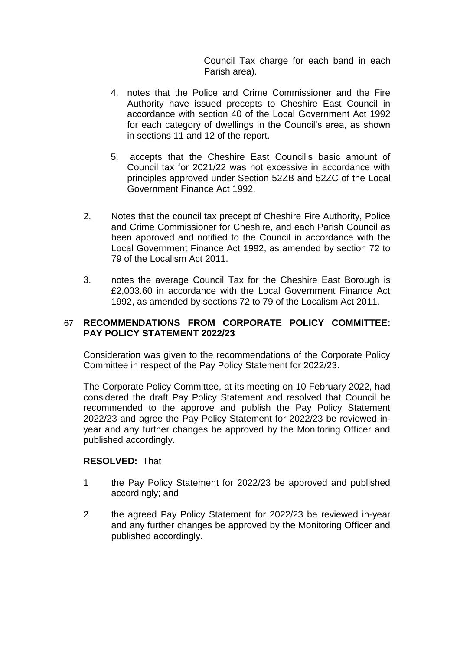Council Tax charge for each band in each Parish area).

- 4. notes that the Police and Crime Commissioner and the Fire Authority have issued precepts to Cheshire East Council in accordance with section 40 of the Local Government Act 1992 for each category of dwellings in the Council's area, as shown in sections 11 and 12 of the report.
- 5. accepts that the Cheshire East Council's basic amount of Council tax for 2021/22 was not excessive in accordance with principles approved under Section 52ZB and 52ZC of the Local Government Finance Act 1992.
- 2. Notes that the council tax precept of Cheshire Fire Authority, Police and Crime Commissioner for Cheshire, and each Parish Council as been approved and notified to the Council in accordance with the Local Government Finance Act 1992, as amended by section 72 to 79 of the Localism Act 2011.
- 3. notes the average Council Tax for the Cheshire East Borough is £2,003.60 in accordance with the Local Government Finance Act 1992, as amended by sections 72 to 79 of the Localism Act 2011.

# 67 **RECOMMENDATIONS FROM CORPORATE POLICY COMMITTEE: PAY POLICY STATEMENT 2022/23**

Consideration was given to the recommendations of the Corporate Policy Committee in respect of the Pay Policy Statement for 2022/23.

The Corporate Policy Committee, at its meeting on 10 February 2022, had considered the draft Pay Policy Statement and resolved that Council be recommended to the approve and publish the Pay Policy Statement 2022/23 and agree the Pay Policy Statement for 2022/23 be reviewed inyear and any further changes be approved by the Monitoring Officer and published accordingly.

# **RESOLVED:** That

- 1 the Pay Policy Statement for 2022/23 be approved and published accordingly; and
- 2 the agreed Pay Policy Statement for 2022/23 be reviewed in-year and any further changes be approved by the Monitoring Officer and published accordingly.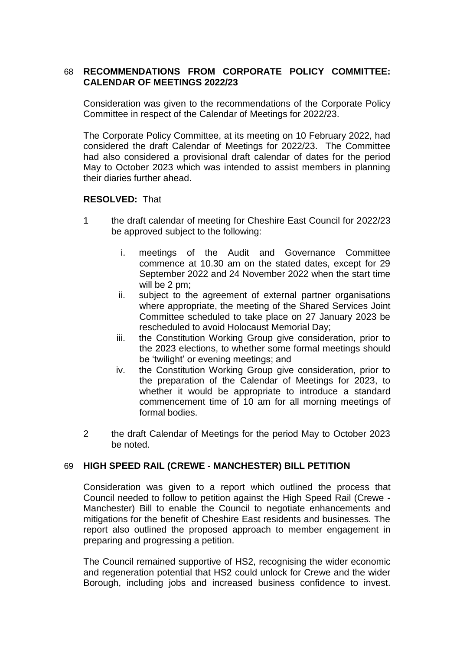# 68 **RECOMMENDATIONS FROM CORPORATE POLICY COMMITTEE: CALENDAR OF MEETINGS 2022/23**

Consideration was given to the recommendations of the Corporate Policy Committee in respect of the Calendar of Meetings for 2022/23.

The Corporate Policy Committee, at its meeting on 10 February 2022, had considered the draft Calendar of Meetings for 2022/23. The Committee had also considered a provisional draft calendar of dates for the period May to October 2023 which was intended to assist members in planning their diaries further ahead.

### **RESOLVED:** That

- 1 the draft calendar of meeting for Cheshire East Council for 2022/23 be approved subject to the following:
	- i. meetings of the Audit and Governance Committee commence at 10.30 am on the stated dates, except for 29 September 2022 and 24 November 2022 when the start time will be 2 pm;
	- ii. subject to the agreement of external partner organisations where appropriate, the meeting of the Shared Services Joint Committee scheduled to take place on 27 January 2023 be rescheduled to avoid Holocaust Memorial Day;
	- iii. the Constitution Working Group give consideration, prior to the 2023 elections, to whether some formal meetings should be 'twilight' or evening meetings; and
	- iv. the Constitution Working Group give consideration, prior to the preparation of the Calendar of Meetings for 2023, to whether it would be appropriate to introduce a standard commencement time of 10 am for all morning meetings of formal bodies.
- 2 the draft Calendar of Meetings for the period May to October 2023 be noted.

# 69 **HIGH SPEED RAIL (CREWE - MANCHESTER) BILL PETITION**

Consideration was given to a report which outlined the process that Council needed to follow to petition against the High Speed Rail (Crewe - Manchester) Bill to enable the Council to negotiate enhancements and mitigations for the benefit of Cheshire East residents and businesses. The report also outlined the proposed approach to member engagement in preparing and progressing a petition.

The Council remained supportive of HS2, recognising the wider economic and regeneration potential that HS2 could unlock for Crewe and the wider Borough, including jobs and increased business confidence to invest.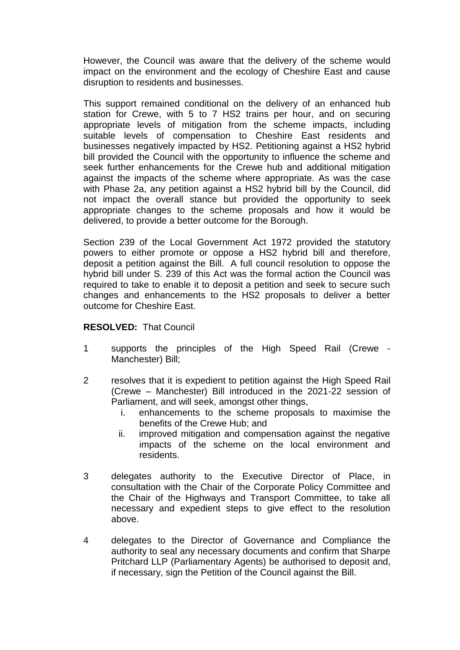However, the Council was aware that the delivery of the scheme would impact on the environment and the ecology of Cheshire East and cause disruption to residents and businesses.

This support remained conditional on the delivery of an enhanced hub station for Crewe, with 5 to 7 HS2 trains per hour, and on securing appropriate levels of mitigation from the scheme impacts, including suitable levels of compensation to Cheshire East residents and businesses negatively impacted by HS2. Petitioning against a HS2 hybrid bill provided the Council with the opportunity to influence the scheme and seek further enhancements for the Crewe hub and additional mitigation against the impacts of the scheme where appropriate. As was the case with Phase 2a, any petition against a HS2 hybrid bill by the Council, did not impact the overall stance but provided the opportunity to seek appropriate changes to the scheme proposals and how it would be delivered, to provide a better outcome for the Borough.

Section 239 of the Local Government Act 1972 provided the statutory powers to either promote or oppose a HS2 hybrid bill and therefore, deposit a petition against the Bill. A full council resolution to oppose the hybrid bill under S. 239 of this Act was the formal action the Council was required to take to enable it to deposit a petition and seek to secure such changes and enhancements to the HS2 proposals to deliver a better outcome for Cheshire East.

#### **RESOLVED:** That Council

- 1 supports the principles of the High Speed Rail (Crewe Manchester) Bill;
- 2 resolves that it is expedient to petition against the High Speed Rail (Crewe – Manchester) Bill introduced in the 2021-22 session of Parliament, and will seek, amongst other things,
	- i. enhancements to the scheme proposals to maximise the benefits of the Crewe Hub; and
	- ii. improved mitigation and compensation against the negative impacts of the scheme on the local environment and residents.
- 3 delegates authority to the Executive Director of Place, in consultation with the Chair of the Corporate Policy Committee and the Chair of the Highways and Transport Committee, to take all necessary and expedient steps to give effect to the resolution above.
- 4 delegates to the Director of Governance and Compliance the authority to seal any necessary documents and confirm that Sharpe Pritchard LLP (Parliamentary Agents) be authorised to deposit and, if necessary, sign the Petition of the Council against the Bill.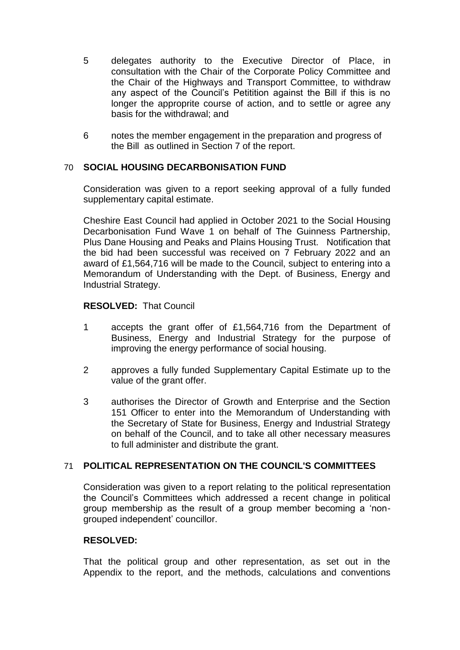- 5 delegates authority to the Executive Director of Place, in consultation with the Chair of the Corporate Policy Committee and the Chair of the Highways and Transport Committee, to withdraw any aspect of the Council's Petitition against the Bill if this is no longer the approprite course of action, and to settle or agree any basis for the withdrawal; and
- 6 notes the member engagement in the preparation and progress of the Bill as outlined in Section 7 of the report.

# 70 **SOCIAL HOUSING DECARBONISATION FUND**

Consideration was given to a report seeking approval of a fully funded supplementary capital estimate.

Cheshire East Council had applied in October 2021 to the Social Housing Decarbonisation Fund Wave 1 on behalf of The Guinness Partnership, Plus Dane Housing and Peaks and Plains Housing Trust. Notification that the bid had been successful was received on 7 February 2022 and an award of £1,564,716 will be made to the Council, subject to entering into a Memorandum of Understanding with the Dept. of Business, Energy and Industrial Strategy.

# **RESOLVED:** That Council

- 1 accepts the grant offer of £1,564,716 from the Department of Business, Energy and Industrial Strategy for the purpose of improving the energy performance of social housing.
- 2 approves a fully funded Supplementary Capital Estimate up to the value of the grant offer.
- 3 authorises the Director of Growth and Enterprise and the Section 151 Officer to enter into the Memorandum of Understanding with the Secretary of State for Business, Energy and Industrial Strategy on behalf of the Council, and to take all other necessary measures to full administer and distribute the grant.

# 71 **POLITICAL REPRESENTATION ON THE COUNCIL'S COMMITTEES**

Consideration was given to a report relating to the political representation the Council's Committees which addressed a recent change in political group membership as the result of a group member becoming a 'nongrouped independent' councillor.

# **RESOLVED:**

That the political group and other representation, as set out in the Appendix to the report, and the methods, calculations and conventions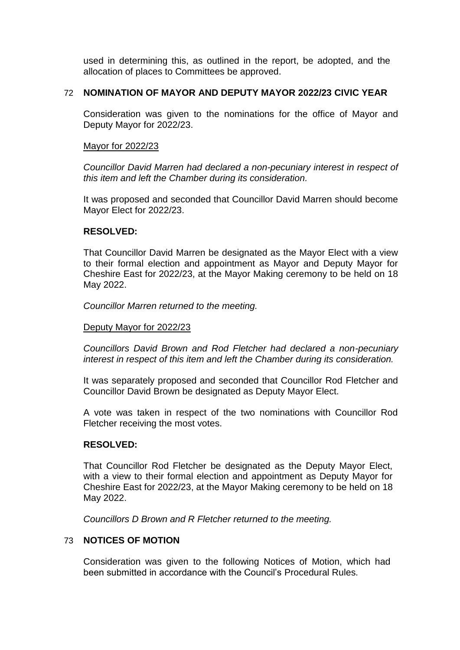used in determining this, as outlined in the report, be adopted, and the allocation of places to Committees be approved.

### 72 **NOMINATION OF MAYOR AND DEPUTY MAYOR 2022/23 CIVIC YEAR**

Consideration was given to the nominations for the office of Mayor and Deputy Mayor for 2022/23.

#### Mayor for 2022/23

*Councillor David Marren had declared a non-pecuniary interest in respect of this item and left the Chamber during its consideration.*

It was proposed and seconded that Councillor David Marren should become Mayor Elect for 2022/23.

# **RESOLVED:**

That Councillor David Marren be designated as the Mayor Elect with a view to their formal election and appointment as Mayor and Deputy Mayor for Cheshire East for 2022/23, at the Mayor Making ceremony to be held on 18 May 2022.

*Councillor Marren returned to the meeting.*

#### Deputy Mayor for 2022/23

*Councillors David Brown and Rod Fletcher had declared a non-pecuniary interest in respect of this item and left the Chamber during its consideration.*

It was separately proposed and seconded that Councillor Rod Fletcher and Councillor David Brown be designated as Deputy Mayor Elect.

A vote was taken in respect of the two nominations with Councillor Rod Fletcher receiving the most votes.

# **RESOLVED:**

That Councillor Rod Fletcher be designated as the Deputy Mayor Elect, with a view to their formal election and appointment as Deputy Mayor for Cheshire East for 2022/23, at the Mayor Making ceremony to be held on 18 May 2022.

*Councillors D Brown and R Fletcher returned to the meeting.*

#### 73 **NOTICES OF MOTION**

Consideration was given to the following Notices of Motion, which had been submitted in accordance with the Council's Procedural Rules.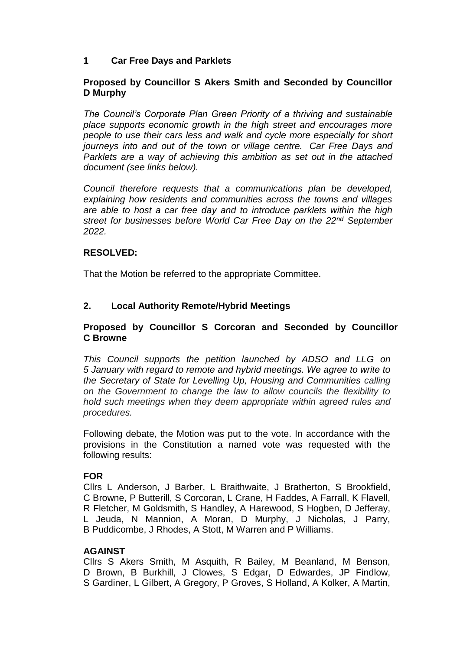# **1 Car Free Days and Parklets**

# **Proposed by Councillor S Akers Smith and Seconded by Councillor D Murphy**

*The Council's Corporate Plan Green Priority of a thriving and sustainable place supports economic growth in the high street and encourages more people to use their cars less and walk and cycle more especially for short journeys into and out of the town or village centre. Car Free Days and Parklets are a way of achieving this ambition as set out in the attached document (see links below).*

*Council therefore requests that a communications plan be developed, explaining how residents and communities across the towns and villages are able to host a car free day and to introduce parklets within the high street for businesses before World Car Free Day on the 22nd September 2022.*

# **RESOLVED:**

That the Motion be referred to the appropriate Committee.

# **2. Local Authority Remote/Hybrid Meetings**

### **Proposed by Councillor S Corcoran and Seconded by Councillor C Browne**

*This Council supports the petition launched by ADSO and LLG on 5 January with regard to remote and hybrid meetings. We agree to write to the Secretary of State for Levelling Up, Housing and Communities calling on the Government to change the law to allow councils the flexibility to hold such meetings when they deem appropriate within agreed rules and procedures.*

Following debate, the Motion was put to the vote. In accordance with the provisions in the Constitution a named vote was requested with the following results:

#### **FOR**

Cllrs L Anderson, J Barber, L Braithwaite, J Bratherton, S Brookfield, C Browne, P Butterill, S Corcoran, L Crane, H Faddes, A Farrall, K Flavell, R Fletcher, M Goldsmith, S Handley, A Harewood, S Hogben, D Jefferay, L Jeuda, N Mannion, A Moran, D Murphy, J Nicholas, J Parry, B Puddicombe, J Rhodes, A Stott, M Warren and P Williams.

# **AGAINST**

Cllrs S Akers Smith, M Asquith, R Bailey, M Beanland, M Benson, D Brown, B Burkhill, J Clowes, S Edgar, D Edwardes, JP Findlow, S Gardiner, L Gilbert, A Gregory, P Groves, S Holland, A Kolker, A Martin,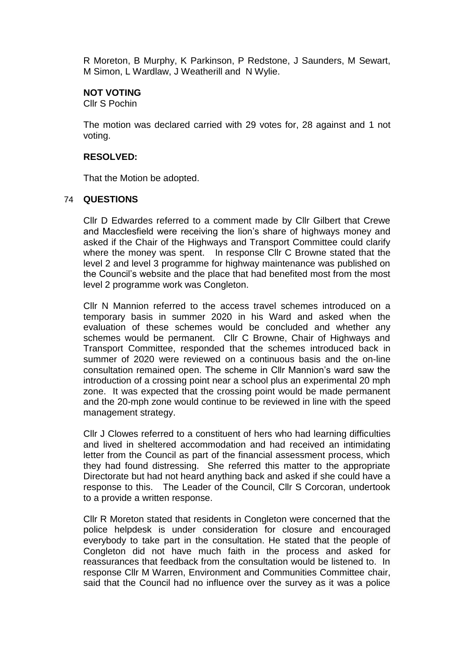R Moreton, B Murphy, K Parkinson, P Redstone, J Saunders, M Sewart, M Simon, L Wardlaw, J Weatherill and N Wylie.

# **NOT VOTING**

Cllr S Pochin

The motion was declared carried with 29 votes for, 28 against and 1 not voting.

# **RESOLVED:**

That the Motion be adopted.

### 74 **QUESTIONS**

Cllr D Edwardes referred to a comment made by Cllr Gilbert that Crewe and Macclesfield were receiving the lion's share of highways money and asked if the Chair of the Highways and Transport Committee could clarify where the money was spent. In response Cllr C Browne stated that the level 2 and level 3 programme for highway maintenance was published on the Council's website and the place that had benefited most from the most level 2 programme work was Congleton.

Cllr N Mannion referred to the access travel schemes introduced on a temporary basis in summer 2020 in his Ward and asked when the evaluation of these schemes would be concluded and whether any schemes would be permanent. Cllr C Browne, Chair of Highways and Transport Committee, responded that the schemes introduced back in summer of 2020 were reviewed on a continuous basis and the on-line consultation remained open. The scheme in Cllr Mannion's ward saw the introduction of a crossing point near a school plus an experimental 20 mph zone. It was expected that the crossing point would be made permanent and the 20-mph zone would continue to be reviewed in line with the speed management strategy.

Cllr J Clowes referred to a constituent of hers who had learning difficulties and lived in sheltered accommodation and had received an intimidating letter from the Council as part of the financial assessment process, which they had found distressing. She referred this matter to the appropriate Directorate but had not heard anything back and asked if she could have a response to this. The Leader of the Council, Cllr S Corcoran, undertook to a provide a written response.

Cllr R Moreton stated that residents in Congleton were concerned that the police helpdesk is under consideration for closure and encouraged everybody to take part in the consultation. He stated that the people of Congleton did not have much faith in the process and asked for reassurances that feedback from the consultation would be listened to. In response Cllr M Warren, Environment and Communities Committee chair, said that the Council had no influence over the survey as it was a police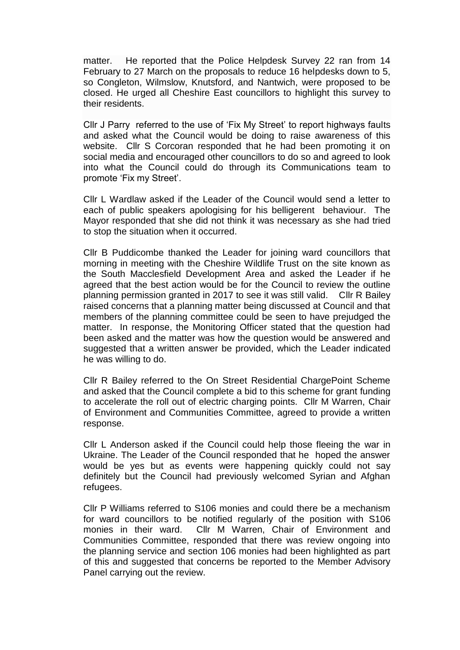matter. He reported that the Police Helpdesk Survey 22 ran from 14 February to 27 March on the proposals to reduce 16 helpdesks down to 5, so Congleton, Wilmslow, Knutsford, and Nantwich, were proposed to be closed. He urged all Cheshire East councillors to highlight this survey to their residents.

Cllr J Parry referred to the use of 'Fix My Street' to report highways faults and asked what the Council would be doing to raise awareness of this website. Cllr S Corcoran responded that he had been promoting it on social media and encouraged other councillors to do so and agreed to look into what the Council could do through its Communications team to promote 'Fix my Street'.

Cllr L Wardlaw asked if the Leader of the Council would send a letter to each of public speakers apologising for his belligerent behaviour. The Mayor responded that she did not think it was necessary as she had tried to stop the situation when it occurred.

Cllr B Puddicombe thanked the Leader for joining ward councillors that morning in meeting with the Cheshire Wildlife Trust on the site known as the South Macclesfield Development Area and asked the Leader if he agreed that the best action would be for the Council to review the outline planning permission granted in 2017 to see it was still valid. Cllr R Bailey raised concerns that a planning matter being discussed at Council and that members of the planning committee could be seen to have prejudged the matter. In response, the Monitoring Officer stated that the question had been asked and the matter was how the question would be answered and suggested that a written answer be provided, which the Leader indicated he was willing to do.

Cllr R Bailey referred to the On Street Residential ChargePoint Scheme and asked that the Council complete a bid to this scheme for grant funding to accelerate the roll out of electric charging points. Cllr M Warren, Chair of Environment and Communities Committee, agreed to provide a written response.

Cllr L Anderson asked if the Council could help those fleeing the war in Ukraine. The Leader of the Council responded that he hoped the answer would be yes but as events were happening quickly could not say definitely but the Council had previously welcomed Syrian and Afghan refugees.

Cllr P Williams referred to S106 monies and could there be a mechanism for ward councillors to be notified regularly of the position with S106 monies in their ward. Cllr M Warren, Chair of Environment and Communities Committee, responded that there was review ongoing into the planning service and section 106 monies had been highlighted as part of this and suggested that concerns be reported to the Member Advisory Panel carrying out the review.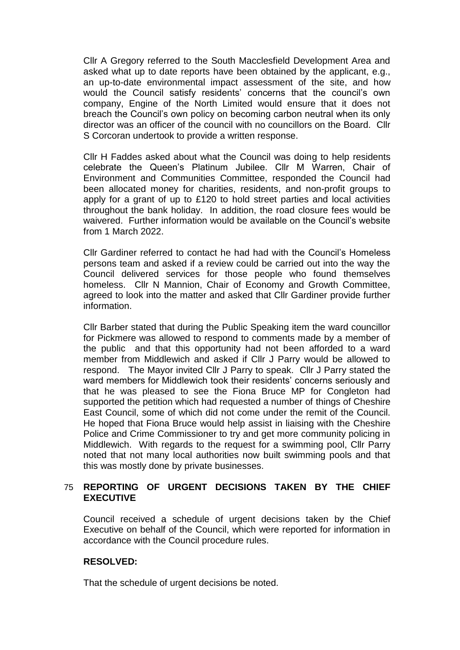Cllr A Gregory referred to the South Macclesfield Development Area and asked what up to date reports have been obtained by the applicant, e.g., an up-to-date environmental impact assessment of the site, and how would the Council satisfy residents' concerns that the council's own company, Engine of the North Limited would ensure that it does not breach the Council's own policy on becoming carbon neutral when its only director was an officer of the council with no councillors on the Board. Cllr S Corcoran undertook to provide a written response.

Cllr H Faddes asked about what the Council was doing to help residents celebrate the Queen's Platinum Jubilee. Cllr M Warren, Chair of Environment and Communities Committee, responded the Council had been allocated money for charities, residents, and non-profit groups to apply for a grant of up to £120 to hold street parties and local activities throughout the bank holiday. In addition, the road closure fees would be waivered. Further information would be available on the Council's website from 1 March 2022.

Cllr Gardiner referred to contact he had had with the Council's Homeless persons team and asked if a review could be carried out into the way the Council delivered services for those people who found themselves homeless. Cllr N Mannion, Chair of Economy and Growth Committee, agreed to look into the matter and asked that Cllr Gardiner provide further information.

Cllr Barber stated that during the Public Speaking item the ward councillor for Pickmere was allowed to respond to comments made by a member of the public and that this opportunity had not been afforded to a ward member from Middlewich and asked if Cllr J Parry would be allowed to respond. The Mayor invited Cllr J Parry to speak. Cllr J Parry stated the ward members for Middlewich took their residents' concerns seriously and that he was pleased to see the Fiona Bruce MP for Congleton had supported the petition which had requested a number of things of Cheshire East Council, some of which did not come under the remit of the Council. He hoped that Fiona Bruce would help assist in liaising with the Cheshire Police and Crime Commissioner to try and get more community policing in Middlewich. With regards to the request for a swimming pool, Cllr Parry noted that not many local authorities now built swimming pools and that this was mostly done by private businesses.

# 75 **REPORTING OF URGENT DECISIONS TAKEN BY THE CHIEF EXECUTIVE**

Council received a schedule of urgent decisions taken by the Chief Executive on behalf of the Council, which were reported for information in accordance with the Council procedure rules.

# **RESOLVED:**

That the schedule of urgent decisions be noted.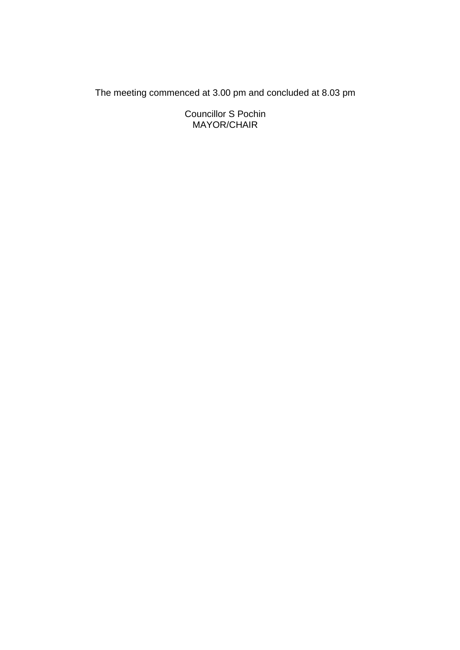The meeting commenced at 3.00 pm and concluded at 8.03 pm

Councillor S Pochin MAYOR/CHAIR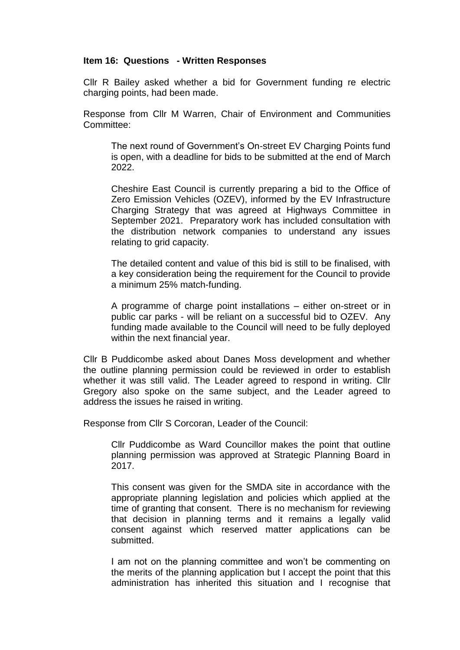# **Item 16: Questions - Written Responses**

Cllr R Bailey asked whether a bid for Government funding re electric charging points, had been made.

Response from Cllr M Warren, Chair of Environment and Communities Committee:

The next round of Government's On-street EV Charging Points fund is open, with a deadline for bids to be submitted at the end of March 2022.

Cheshire East Council is currently preparing a bid to the Office of Zero Emission Vehicles (OZEV), informed by the EV Infrastructure Charging Strategy that was agreed at Highways Committee in September 2021. Preparatory work has included consultation with the distribution network companies to understand any issues relating to grid capacity.

The detailed content and value of this bid is still to be finalised, with a key consideration being the requirement for the Council to provide a minimum 25% match-funding.

A programme of charge point installations – either on-street or in public car parks - will be reliant on a successful bid to OZEV. Any funding made available to the Council will need to be fully deployed within the next financial year.

Cllr B Puddicombe asked about Danes Moss development and whether the outline planning permission could be reviewed in order to establish whether it was still valid. The Leader agreed to respond in writing. Cllr Gregory also spoke on the same subject, and the Leader agreed to address the issues he raised in writing.

Response from Cllr S Corcoran, Leader of the Council:

Cllr Puddicombe as Ward Councillor makes the point that outline planning permission was approved at Strategic Planning Board in 2017.

This consent was given for the SMDA site in accordance with the appropriate planning legislation and policies which applied at the time of granting that consent. There is no mechanism for reviewing that decision in planning terms and it remains a legally valid consent against which reserved matter applications can be submitted.

I am not on the planning committee and won't be commenting on the merits of the planning application but I accept the point that this administration has inherited this situation and I recognise that